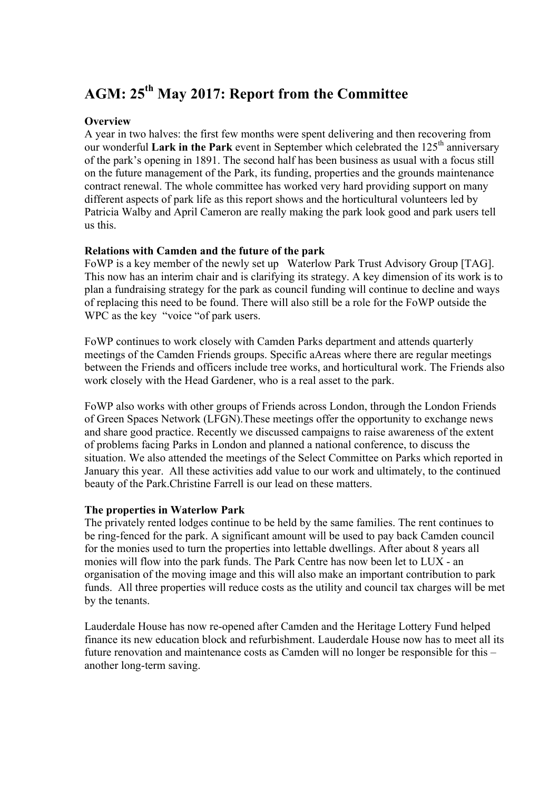# **AGM: 25th May 2017: Report from the Committee**

## **Overview**

A year in two halves: the first few months were spent delivering and then recovering from our wonderful Lark in the Park event in September which celebrated the 125<sup>th</sup> anniversary of the park's opening in 1891. The second half has been business as usual with a focus still on the future management of the Park, its funding, properties and the grounds maintenance contract renewal. The whole committee has worked very hard providing support on many different aspects of park life as this report shows and the horticultural volunteers led by Patricia Walby and April Cameron are really making the park look good and park users tell us this.

#### **Relations with Camden and the future of the park**

FoWP is a key member of the newly set up Waterlow Park Trust Advisory Group [TAG]. This now has an interim chair and is clarifying its strategy. A key dimension of its work is to plan a fundraising strategy for the park as council funding will continue to decline and ways of replacing this need to be found. There will also still be a role for the FoWP outside the WPC as the key "voice "of park users.

FoWP continues to work closely with Camden Parks department and attends quarterly meetings of the Camden Friends groups. Specific aAreas where there are regular meetings between the Friends and officers include tree works, and horticultural work. The Friends also work closely with the Head Gardener, who is a real asset to the park.

FoWP also works with other groups of Friends across London, through the London Friends of Green Spaces Network (LFGN).These meetings offer the opportunity to exchange news and share good practice. Recently we discussed campaigns to raise awareness of the extent of problems facing Parks in London and planned a national conference, to discuss the situation. We also attended the meetings of the Select Committee on Parks which reported in January this year. All these activities add value to our work and ultimately, to the continued beauty of the Park.Christine Farrell is our lead on these matters.

#### **The properties in Waterlow Park**

The privately rented lodges continue to be held by the same families. The rent continues to be ring-fenced for the park. A significant amount will be used to pay back Camden council for the monies used to turn the properties into lettable dwellings. After about 8 years all monies will flow into the park funds. The Park Centre has now been let to LUX - an organisation of the moving image and this will also make an important contribution to park funds. All three properties will reduce costs as the utility and council tax charges will be met by the tenants.

Lauderdale House has now re-opened after Camden and the Heritage Lottery Fund helped finance its new education block and refurbishment. Lauderdale House now has to meet all its future renovation and maintenance costs as Camden will no longer be responsible for this – another long-term saving.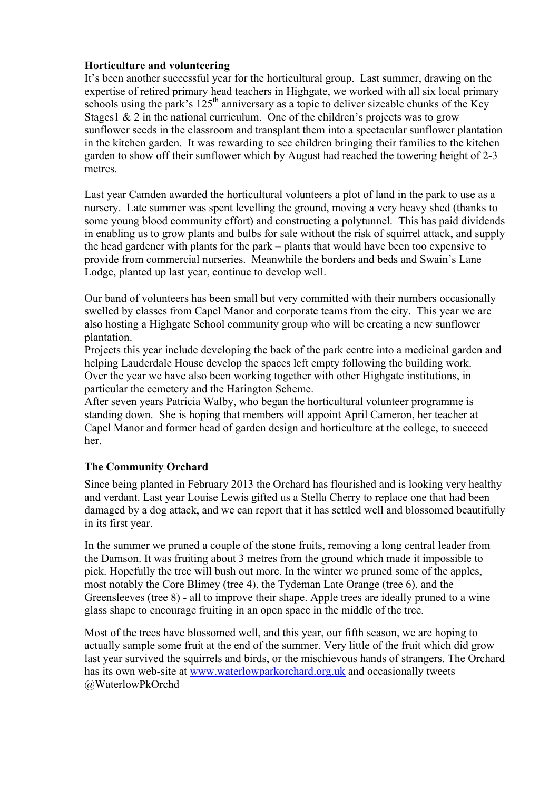# **Horticulture and volunteering**

It's been another successful year for the horticultural group. Last summer, drawing on the expertise of retired primary head teachers in Highgate, we worked with all six local primary schools using the park's  $125<sup>th</sup>$  anniversary as a topic to deliver sizeable chunks of the Key Stages1  $& 2$  in the national curriculum. One of the children's projects was to grow sunflower seeds in the classroom and transplant them into a spectacular sunflower plantation in the kitchen garden. It was rewarding to see children bringing their families to the kitchen garden to show off their sunflower which by August had reached the towering height of 2-3 metres.

Last year Camden awarded the horticultural volunteers a plot of land in the park to use as a nursery. Late summer was spent levelling the ground, moving a very heavy shed (thanks to some young blood community effort) and constructing a polytunnel. This has paid dividends in enabling us to grow plants and bulbs for sale without the risk of squirrel attack, and supply the head gardener with plants for the park – plants that would have been too expensive to provide from commercial nurseries. Meanwhile the borders and beds and Swain's Lane Lodge, planted up last year, continue to develop well.

Our band of volunteers has been small but very committed with their numbers occasionally swelled by classes from Capel Manor and corporate teams from the city. This year we are also hosting a Highgate School community group who will be creating a new sunflower plantation.

Projects this year include developing the back of the park centre into a medicinal garden and helping Lauderdale House develop the spaces left empty following the building work. Over the year we have also been working together with other Highgate institutions, in particular the cemetery and the Harington Scheme.

After seven years Patricia Walby, who began the horticultural volunteer programme is standing down. She is hoping that members will appoint April Cameron, her teacher at Capel Manor and former head of garden design and horticulture at the college, to succeed her.

# **The Community Orchard**

Since being planted in February 2013 the Orchard has flourished and is looking very healthy and verdant. Last year Louise Lewis gifted us a Stella Cherry to replace one that had been damaged by a dog attack, and we can report that it has settled well and blossomed beautifully in its first year.

In the summer we pruned a couple of the stone fruits, removing a long central leader from the Damson. It was fruiting about 3 metres from the ground which made it impossible to pick. Hopefully the tree will bush out more. In the winter we pruned some of the apples, most notably the Core Blimey (tree 4), the Tydeman Late Orange (tree 6), and the Greensleeves (tree 8) - all to improve their shape. Apple trees are ideally pruned to a wine glass shape to encourage fruiting in an open space in the middle of the tree.

Most of the trees have blossomed well, and this year, our fifth season, we are hoping to actually sample some fruit at the end of the summer. Very little of the fruit which did grow last year survived the squirrels and birds, or the mischievous hands of strangers. The Orchard has its own web-site at www.waterlowparkorchard.org.uk and occasionally tweets @WaterlowPkOrchd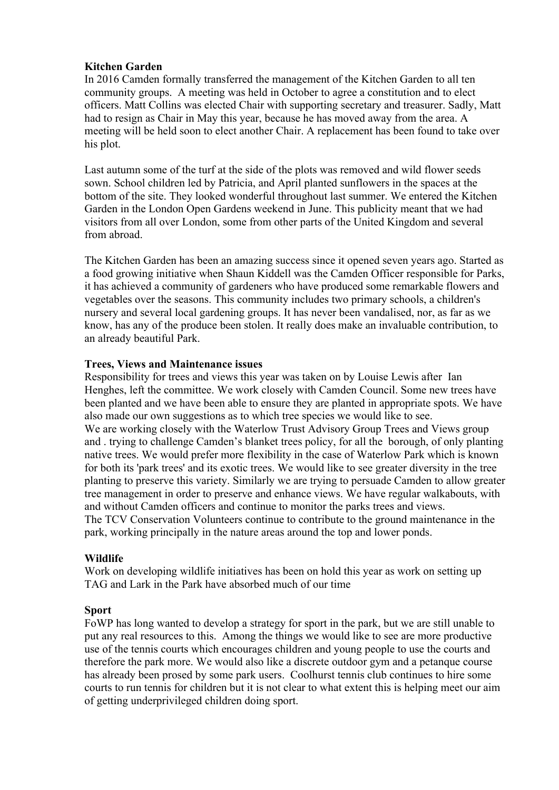## **Kitchen Garden**

In 2016 Camden formally transferred the management of the Kitchen Garden to all ten community groups. A meeting was held in October to agree a constitution and to elect officers. Matt Collins was elected Chair with supporting secretary and treasurer. Sadly, Matt had to resign as Chair in May this year, because he has moved away from the area. A meeting will be held soon to elect another Chair. A replacement has been found to take over his plot.

Last autumn some of the turf at the side of the plots was removed and wild flower seeds sown. School children led by Patricia, and April planted sunflowers in the spaces at the bottom of the site. They looked wonderful throughout last summer. We entered the Kitchen Garden in the London Open Gardens weekend in June. This publicity meant that we had visitors from all over London, some from other parts of the United Kingdom and several from abroad.

The Kitchen Garden has been an amazing success since it opened seven years ago. Started as a food growing initiative when Shaun Kiddell was the Camden Officer responsible for Parks, it has achieved a community of gardeners who have produced some remarkable flowers and vegetables over the seasons. This community includes two primary schools, a children's nursery and several local gardening groups. It has never been vandalised, nor, as far as we know, has any of the produce been stolen. It really does make an invaluable contribution, to an already beautiful Park.

## **Trees, Views and Maintenance issues**

Responsibility for trees and views this year was taken on by Louise Lewis after Ian Henghes, left the committee. We work closely with Camden Council. Some new trees have been planted and we have been able to ensure they are planted in appropriate spots. We have also made our own suggestions as to which tree species we would like to see. We are working closely with the Waterlow Trust Advisory Group Trees and Views group and . trying to challenge Camden's blanket trees policy, for all the borough, of only planting native trees. We would prefer more flexibility in the case of Waterlow Park which is known for both its 'park trees' and its exotic trees. We would like to see greater diversity in the tree planting to preserve this variety. Similarly we are trying to persuade Camden to allow greater tree management in order to preserve and enhance views. We have regular walkabouts, with and without Camden officers and continue to monitor the parks trees and views. The TCV Conservation Volunteers continue to contribute to the ground maintenance in the park, working principally in the nature areas around the top and lower ponds.

#### **Wildlife**

Work on developing wildlife initiatives has been on hold this year as work on setting up TAG and Lark in the Park have absorbed much of our time

#### **Sport**

FoWP has long wanted to develop a strategy for sport in the park, but we are still unable to put any real resources to this. Among the things we would like to see are more productive use of the tennis courts which encourages children and young people to use the courts and therefore the park more. We would also like a discrete outdoor gym and a petanque course has already been prosed by some park users. Coolhurst tennis club continues to hire some courts to run tennis for children but it is not clear to what extent this is helping meet our aim of getting underprivileged children doing sport.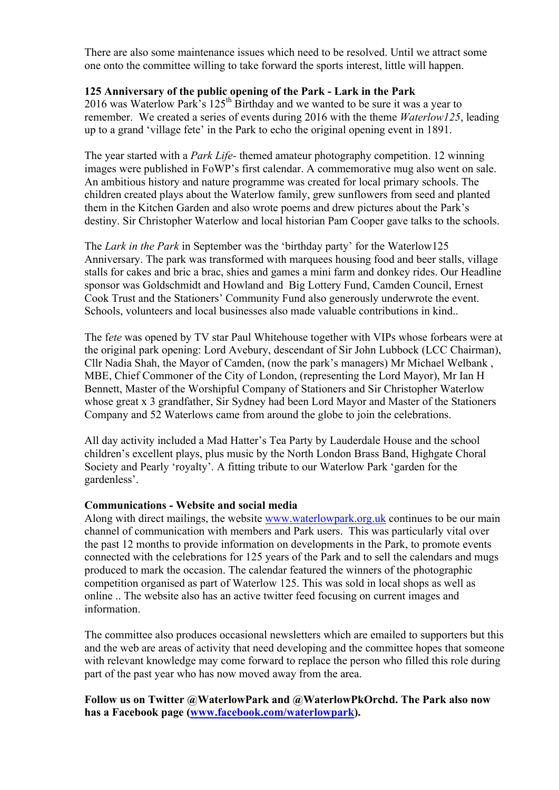There are also some maintenance issues which need to be resolved. Until we attract some one onto the committee willing to take forward the sports interest, little will happen.

# **125 Anniversary of the public opening of the Park - Lark in the Park**

2016 was Waterlow Park's  $125<sup>th</sup>$  Birthday and we wanted to be sure it was a year to remember. We created a series of events during 2016 with the theme *Waterlow125*, leading up to a grand 'village fete' in the Park to echo the original opening event in 1891.

The year started with a *Park Life-* themed amateur photography competition. 12 winning images were published in FoWP's first calendar. A commemorative mug also went on sale. An ambitious history and nature programme was created for local primary schools. The children created plays about the Waterlow family, grew sunflowers from seed and planted them in the Kitchen Garden and also wrote poems and drew pictures about the Park's destiny. Sir Christopher Waterlow and local historian Pam Cooper gave talks to the schools.

The *Lark in the Park* in September was the 'birthday party' for the Waterlow125 Anniversary. The park was transformed with marquees housing food and beer stalls, village stalls for cakes and bric a brac, shies and games a mini farm and donkey rides. Our Headline sponsor was Goldschmidt and Howland and Big Lottery Fund, Camden Council, Ernest Cook Trust and the Stationers' Community Fund also generously underwrote the event. Schools, volunteers and local businesses also made valuable contributions in kind..

The f*ete* was opened by TV star Paul Whitehouse together with VIPs whose forbears were at the original park opening: Lord Avebury, descendant of Sir John Lubbock (LCC Chairman), Cllr Nadia Shah, the Mayor of Camden, (now the park's managers) Mr Michael Welbank , MBE, Chief Commoner of the City of London, (representing the Lord Mayor), Mr Ian H Bennett, Master of the Worshipful Company of Stationers and Sir Christopher Waterlow whose great x 3 grandfather, Sir Sydney had been Lord Mayor and Master of the Stationers Company and 52 Waterlows came from around the globe to join the celebrations.

All day activity included a Mad Hatter's Tea Party by Lauderdale House and the school children's excellent plays, plus music by the North London Brass Band, Highgate Choral Society and Pearly 'royalty'. A fitting tribute to our Waterlow Park 'garden for the gardenless'.

#### **Communications - Website and social media**

Along with direct mailings, the website www.waterlowpark.org.uk continues to be our main channel of communication with members and Park users. This was particularly vital over the past 12 months to provide information on developments in the Park, to promote events connected with the celebrations for 125 years of the Park and to sell the calendars and mugs produced to mark the occasion. The calendar featured the winners of the photographic competition organised as part of Waterlow 125. This was sold in local shops as well as online .. The website also has an active twitter feed focusing on current images and information.

The committee also produces occasional newsletters which are emailed to supporters but this and the web are areas of activity that need developing and the committee hopes that someone with relevant knowledge may come forward to replace the person who filled this role during part of the past year who has now moved away from the area.

**Follow us on Twitter @WaterlowPark and @WaterlowPkOrchd. The Park also now has a Facebook page (www.facebook.com/waterlowpark).**